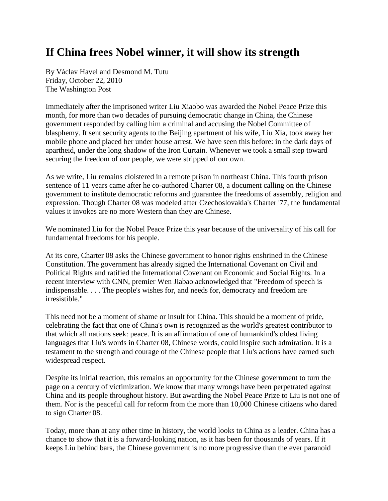## **If China frees Nobel winner, it will show its strength**

By Václav Havel and Desmond M. Tutu Friday, October 22, 2010 The Washington Post

Immediately after the imprisoned writer Liu Xiaobo was awarded the Nobel Peace Prize this month, for more than two decades of pursuing democratic change in China, the Chinese government responded by calling him a criminal and accusing the Nobel Committee of blasphemy. It sent security agents to the Beijing apartment of his wife, Liu Xia, took away her mobile phone and placed her under house arrest. We have seen this before: in the dark days of apartheid, under the long shadow of the Iron Curtain. Whenever we took a small step toward securing the freedom of our people, we were stripped of our own.

As we write, Liu remains cloistered in a remote prison in northeast China. This fourth prison sentence of 11 years came after he co-authored Charter 08, a document calling on the Chinese government to institute democratic reforms and guarantee the freedoms of assembly, religion and expression. Though Charter 08 was modeled after Czechoslovakia's Charter '77, the fundamental values it invokes are no more Western than they are Chinese.

We nominated Liu for the Nobel Peace Prize this year because of the universality of his call for fundamental freedoms for his people.

At its core, Charter 08 asks the Chinese government to honor rights enshrined in the Chinese Constitution. The government has already signed the International Covenant on Civil and Political Rights and ratified the International Covenant on Economic and Social Rights. In a recent interview with CNN, premier Wen Jiabao acknowledged that "Freedom of speech is indispensable. . . . The people's wishes for, and needs for, democracy and freedom are irresistible."

This need not be a moment of shame or insult for China. This should be a moment of pride, celebrating the fact that one of China's own is recognized as the world's greatest contributor to that which all nations seek: peace. It is an affirmation of one of humankind's oldest living languages that Liu's words in Charter 08, Chinese words, could inspire such admiration. It is a testament to the strength and courage of the Chinese people that Liu's actions have earned such widespread respect.

Despite its initial reaction, this remains an opportunity for the Chinese government to turn the page on a century of victimization. We know that many wrongs have been perpetrated against China and its people throughout history. But awarding the Nobel Peace Prize to Liu is not one of them. Nor is the peaceful call for reform from the more than 10,000 Chinese citizens who dared to sign Charter 08.

Today, more than at any other time in history, the world looks to China as a leader. China has a chance to show that it is a forward-looking nation, as it has been for thousands of years. If it keeps Liu behind bars, the Chinese government is no more progressive than the ever paranoid